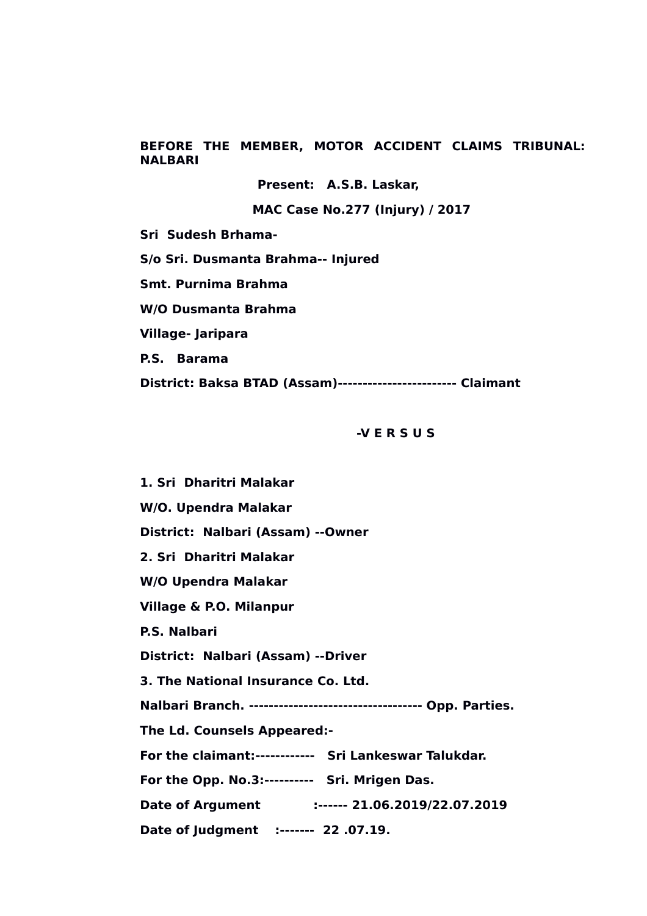**BEFORE THE MEMBER, MOTOR ACCIDENT CLAIMS TRIBUNAL: NALBARI**

**Present: A.S.B. Laskar,**

 **MAC Case No.277 (Injury) / 2017**

**Sri Sudesh Brhama-**

**S/o Sri. Dusmanta Brahma-- Injured**

**Smt. Purnima Brahma**

**W/O Dusmanta Brahma**

**Village- Jaripara**

**P.S. Barama**

**District: Baksa BTAD (Assam)------------------------ Claimant**

#### **-V E R S U S**

**1. Sri Dharitri Malakar W/O. Upendra Malakar District: Nalbari (Assam) --Owner 2. Sri Dharitri Malakar W/O Upendra Malakar Village & P.O. Milanpur P.S. Nalbari District: Nalbari (Assam) --Driver 3. The National Insurance Co. Ltd. Nalbari Branch. ----------------------------------- Opp. Parties. The Ld. Counsels Appeared:- For the claimant:------------ Sri Lankeswar Talukdar. For the Opp. No.3:---------- Sri. Mrigen Das. Date of Argument :------ 21.06.2019/22.07.2019 Date of Judgment :------- 22 .07.19.**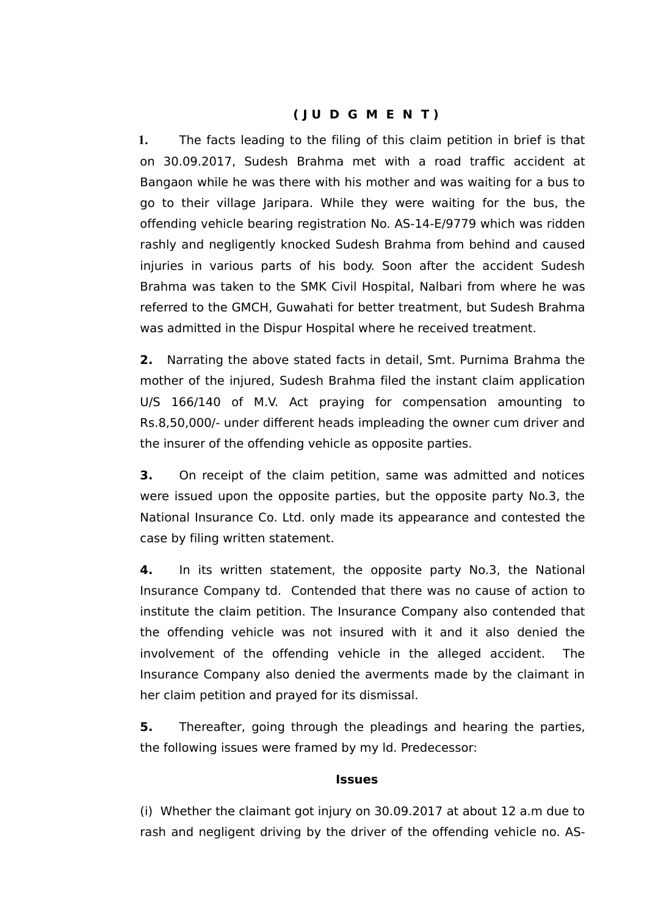# **( J U D G M E N T )**

**1.** The facts leading to the filing of this claim petition in brief is that on 30.09.2017, Sudesh Brahma met with a road traffic accident at Bangaon while he was there with his mother and was waiting for a bus to go to their village Jaripara. While they were waiting for the bus, the offending vehicle bearing registration No. AS-14-E/9779 which was ridden rashly and negligently knocked Sudesh Brahma from behind and caused injuries in various parts of his body. Soon after the accident Sudesh Brahma was taken to the SMK Civil Hospital, Nalbari from where he was referred to the GMCH, Guwahati for better treatment, but Sudesh Brahma was admitted in the Dispur Hospital where he received treatment.

**2.** Narrating the above stated facts in detail, Smt. Purnima Brahma the mother of the injured, Sudesh Brahma filed the instant claim application U/S 166/140 of M.V. Act praying for compensation amounting to Rs.8,50,000/- under different heads impleading the owner cum driver and the insurer of the offending vehicle as opposite parties.

**3.** On receipt of the claim petition, same was admitted and notices were issued upon the opposite parties, but the opposite party No.3, the National Insurance Co. Ltd. only made its appearance and contested the case by filing written statement.

**4.** In its written statement, the opposite party No.3, the National Insurance Company td. Contended that there was no cause of action to institute the claim petition. The Insurance Company also contended that the offending vehicle was not insured with it and it also denied the involvement of the offending vehicle in the alleged accident. The Insurance Company also denied the averments made by the claimant in her claim petition and prayed for its dismissal.

**5.** Thereafter, going through the pleadings and hearing the parties, the following issues were framed by my ld. Predecessor:

#### **Issues**

(i) Whether the claimant got injury on 30.09.2017 at about 12 a.m due to rash and negligent driving by the driver of the offending vehicle no. AS-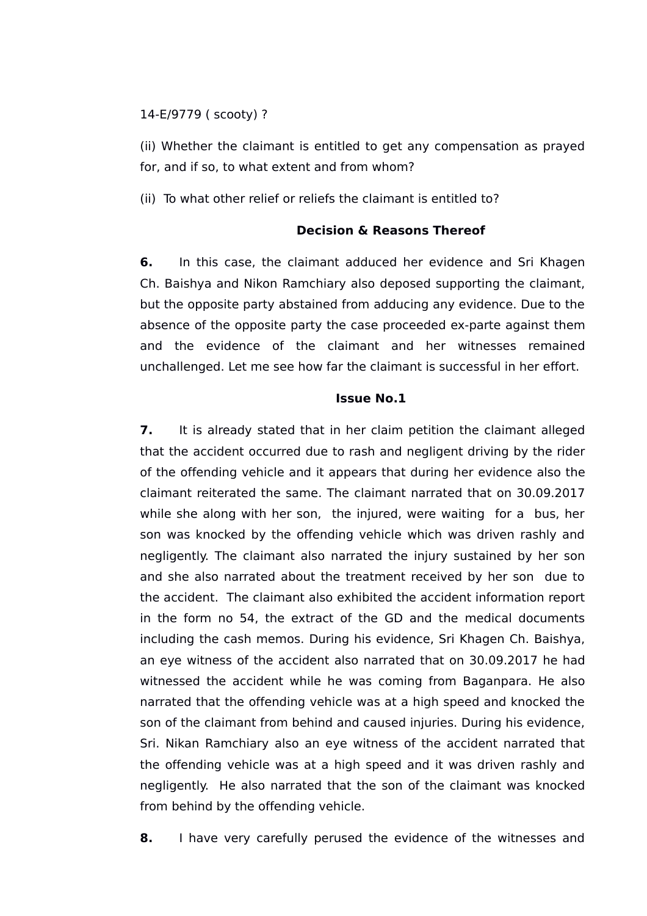#### 14-E/9779 ( scooty) ?

(ii) Whether the claimant is entitled to get any compensation as prayed for, and if so, to what extent and from whom?

(ii) To what other relief or reliefs the claimant is entitled to?

# **Decision & Reasons Thereof**

**6.** In this case, the claimant adduced her evidence and Sri Khagen Ch. Baishya and Nikon Ramchiary also deposed supporting the claimant, but the opposite party abstained from adducing any evidence. Due to the absence of the opposite party the case proceeded ex-parte against them and the evidence of the claimant and her witnesses remained unchallenged. Let me see how far the claimant is successful in her effort.

## **Issue No.1**

**7.** It is already stated that in her claim petition the claimant alleged that the accident occurred due to rash and negligent driving by the rider of the offending vehicle and it appears that during her evidence also the claimant reiterated the same. The claimant narrated that on 30.09.2017 while she along with her son, the injured, were waiting for a bus, her son was knocked by the offending vehicle which was driven rashly and negligently. The claimant also narrated the injury sustained by her son and she also narrated about the treatment received by her son due to the accident. The claimant also exhibited the accident information report in the form no 54, the extract of the GD and the medical documents including the cash memos. During his evidence, Sri Khagen Ch. Baishya, an eye witness of the accident also narrated that on 30.09.2017 he had witnessed the accident while he was coming from Baganpara. He also narrated that the offending vehicle was at a high speed and knocked the son of the claimant from behind and caused injuries. During his evidence, Sri. Nikan Ramchiary also an eye witness of the accident narrated that the offending vehicle was at a high speed and it was driven rashly and negligently. He also narrated that the son of the claimant was knocked from behind by the offending vehicle.

**8.** I have very carefully perused the evidence of the witnesses and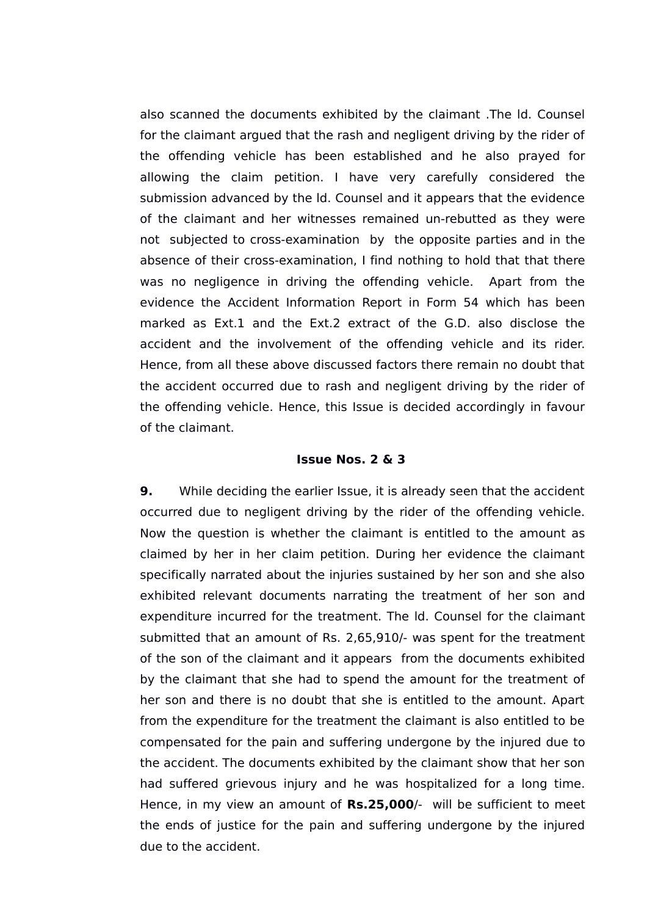also scanned the documents exhibited by the claimant .The ld. Counsel for the claimant argued that the rash and negligent driving by the rider of the offending vehicle has been established and he also prayed for allowing the claim petition. I have very carefully considered the submission advanced by the ld. Counsel and it appears that the evidence of the claimant and her witnesses remained un-rebutted as they were not subjected to cross-examination by the opposite parties and in the absence of their cross-examination, I find nothing to hold that that there was no negligence in driving the offending vehicle. Apart from the evidence the Accident Information Report in Form 54 which has been marked as Ext.1 and the Ext.2 extract of the G.D. also disclose the accident and the involvement of the offending vehicle and its rider. Hence, from all these above discussed factors there remain no doubt that the accident occurred due to rash and negligent driving by the rider of the offending vehicle. Hence, this Issue is decided accordingly in favour of the claimant.

#### **Issue Nos. 2 & 3**

**9.** While deciding the earlier Issue, it is already seen that the accident occurred due to negligent driving by the rider of the offending vehicle. Now the question is whether the claimant is entitled to the amount as claimed by her in her claim petition. During her evidence the claimant specifically narrated about the injuries sustained by her son and she also exhibited relevant documents narrating the treatment of her son and expenditure incurred for the treatment. The ld. Counsel for the claimant submitted that an amount of Rs. 2,65,910/- was spent for the treatment of the son of the claimant and it appears from the documents exhibited by the claimant that she had to spend the amount for the treatment of her son and there is no doubt that she is entitled to the amount. Apart from the expenditure for the treatment the claimant is also entitled to be compensated for the pain and suffering undergone by the injured due to the accident. The documents exhibited by the claimant show that her son had suffered grievous injury and he was hospitalized for a long time. Hence, in my view an amount of **Rs.25,000**/- will be sufficient to meet the ends of justice for the pain and suffering undergone by the injured due to the accident.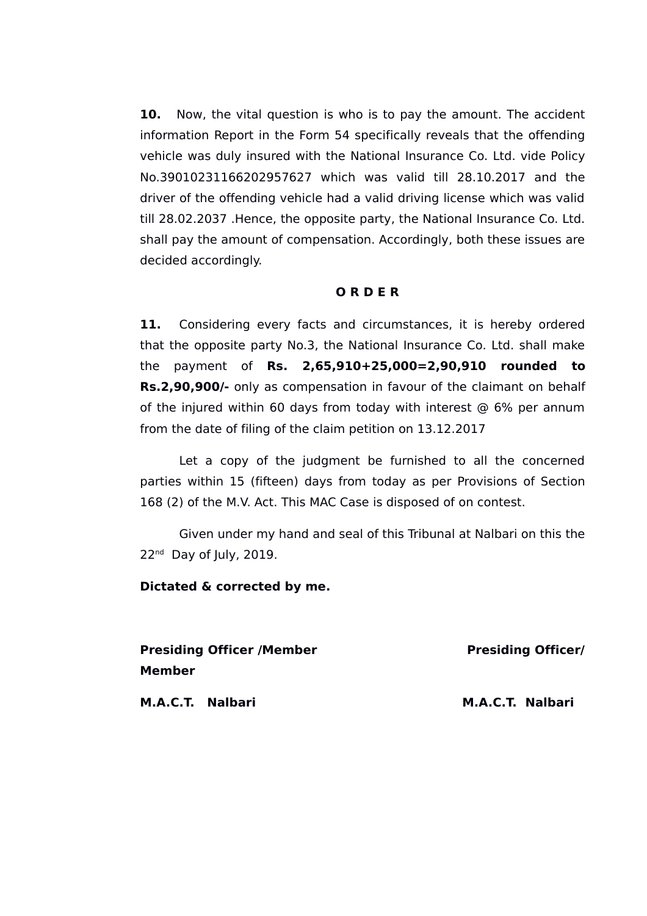**10.** Now, the vital question is who is to pay the amount. The accident information Report in the Form 54 specifically reveals that the offending vehicle was duly insured with the National Insurance Co. Ltd. vide Policy No.39010231166202957627 which was valid till 28.10.2017 and the driver of the offending vehicle had a valid driving license which was valid till 28.02.2037 .Hence, the opposite party, the National Insurance Co. Ltd. shall pay the amount of compensation. Accordingly, both these issues are decided accordingly.

## **O R D E R**

11. Considering every facts and circumstances, it is hereby ordered that the opposite party No.3, the National Insurance Co. Ltd. shall make the payment of **Rs. 2,65,910+25,000=2,90,910 rounded to Rs.2,90,900/-** only as compensation in favour of the claimant on behalf of the injured within 60 days from today with interest  $\odot$  6% per annum from the date of filing of the claim petition on 13.12.2017

Let a copy of the judgment be furnished to all the concerned parties within 15 (fifteen) days from today as per Provisions of Section 168 (2) of the M.V. Act. This MAC Case is disposed of on contest.

Given under my hand and seal of this Tribunal at Nalbari on this the 22<sup>nd</sup> Day of July, 2019.

#### **Dictated & corrected by me.**

**Presiding Officer /Member New York Presiding Officer/ Member**

**M.A.C.T. Nalbari M.A.C.T. Nalbari**